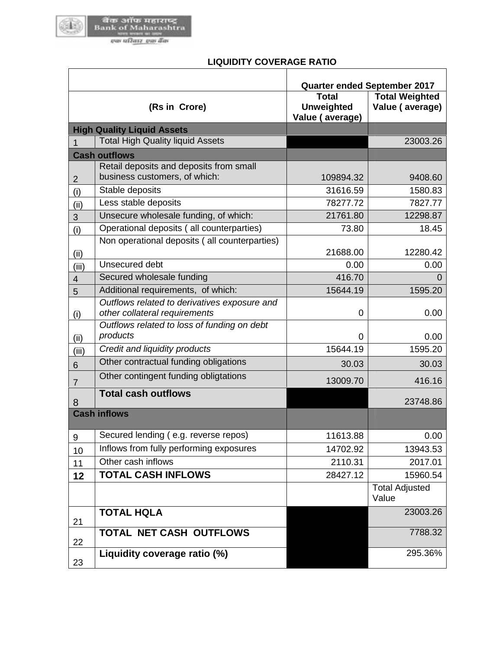

 $\mathsf{r}$ 

## **LIQUIDITY COVERAGE RATIO**

|                     |                                                                               | Quarter ended September 2017                         |                                          |
|---------------------|-------------------------------------------------------------------------------|------------------------------------------------------|------------------------------------------|
|                     | (Rs in Crore)                                                                 | <b>Total</b><br><b>Unweighted</b><br>Value (average) | <b>Total Weighted</b><br>Value (average) |
|                     | <b>High Quality Liquid Assets</b>                                             |                                                      |                                          |
| 1                   | <b>Total High Quality liquid Assets</b>                                       |                                                      | 23003.26                                 |
|                     | <b>Cash outflows</b>                                                          |                                                      |                                          |
| $\overline{2}$      | Retail deposits and deposits from small<br>business customers, of which:      | 109894.32                                            | 9408.60                                  |
| (i)                 | Stable deposits                                                               | 31616.59                                             | 1580.83                                  |
| (ii)                | Less stable deposits                                                          | 78277.72                                             | 7827.77                                  |
| 3                   | Unsecure wholesale funding, of which:                                         | 21761.80                                             | 12298.87                                 |
| (i)                 | Operational deposits (all counterparties)                                     | 73.80                                                | 18.45                                    |
| (ii)                | Non operational deposits (all counterparties)                                 | 21688.00                                             | 12280.42                                 |
| (iii)               | Unsecured debt                                                                | 0.00                                                 | 0.00                                     |
| $\overline{4}$      | Secured wholesale funding                                                     | 416.70                                               | 0                                        |
| 5                   | Additional requirements, of which:                                            | 15644.19                                             | 1595.20                                  |
| (i)                 | Outflows related to derivatives exposure and<br>other collateral requirements | 0                                                    | 0.00                                     |
| (ii)                | Outflows related to loss of funding on debt<br>products                       | 0                                                    | 0.00                                     |
| (iii)               | Credit and liquidity products                                                 | 15644.19                                             | 1595.20                                  |
| $6\phantom{1}$      | Other contractual funding obligations                                         | 30.03                                                | 30.03                                    |
| $\overline{7}$      | Other contingent funding obligtations                                         | 13009.70                                             | 416.16                                   |
| 8                   | <b>Total cash outflows</b>                                                    |                                                      | 23748.86                                 |
| <b>Cash inflows</b> |                                                                               |                                                      |                                          |
| $9\,$               | Secured lending (e.g. reverse repos)                                          | 11613.88                                             | 0.00                                     |
| 10                  | Inflows from fully performing exposures                                       | 14702.92                                             | 13943.53                                 |
| 11                  | Other cash inflows                                                            | 2110.31                                              | 2017.01                                  |
| 12                  | <b>TOTAL CASH INFLOWS</b>                                                     | 28427.12                                             | 15960.54                                 |
|                     |                                                                               |                                                      | <b>Total Adjusted</b><br>Value           |
| 21                  | <b>TOTAL HQLA</b>                                                             |                                                      | 23003.26                                 |
| 22                  | TOTAL NET CASH OUTFLOWS                                                       |                                                      | 7788.32                                  |
| 23                  | Liquidity coverage ratio (%)                                                  |                                                      | 295.36%                                  |